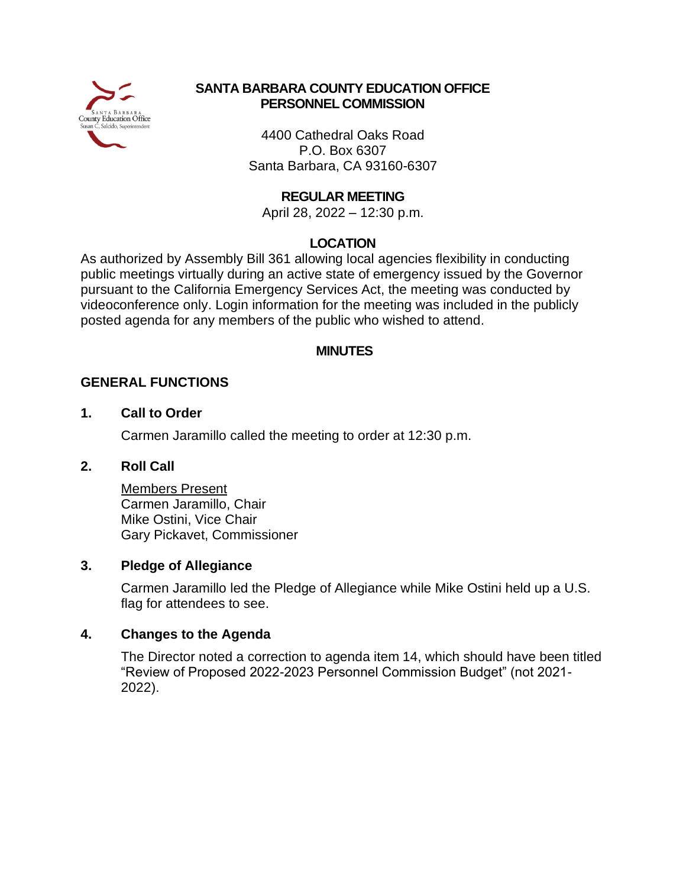

# **SANTA BARBARA COUNTY EDUCATION OFFICE PERSONNEL COMMISSION**

4400 Cathedral Oaks Road P.O. Box 6307 Santa Barbara, CA 93160-6307

# **REGULAR MEETING**

April 28, 2022 – 12:30 p.m.

# **LOCATION**

As authorized by Assembly Bill 361 allowing local agencies flexibility in conducting public meetings virtually during an active state of emergency issued by the Governor pursuant to the California Emergency Services Act, the meeting was conducted by videoconference only. Login information for the meeting was included in the publicly posted agenda for any members of the public who wished to attend.

# **MINUTES**

# **GENERAL FUNCTIONS**

## **1. Call to Order**

Carmen Jaramillo called the meeting to order at 12:30 p.m.

# **2. Roll Call**

Members Present Carmen Jaramillo, Chair Mike Ostini, Vice Chair Gary Pickavet, Commissioner

## **3. Pledge of Allegiance**

Carmen Jaramillo led the Pledge of Allegiance while Mike Ostini held up a U.S. flag for attendees to see.

## **4. Changes to the Agenda**

The Director noted a correction to agenda item 14, which should have been titled "Review of Proposed 2022-2023 Personnel Commission Budget" (not 2021- 2022).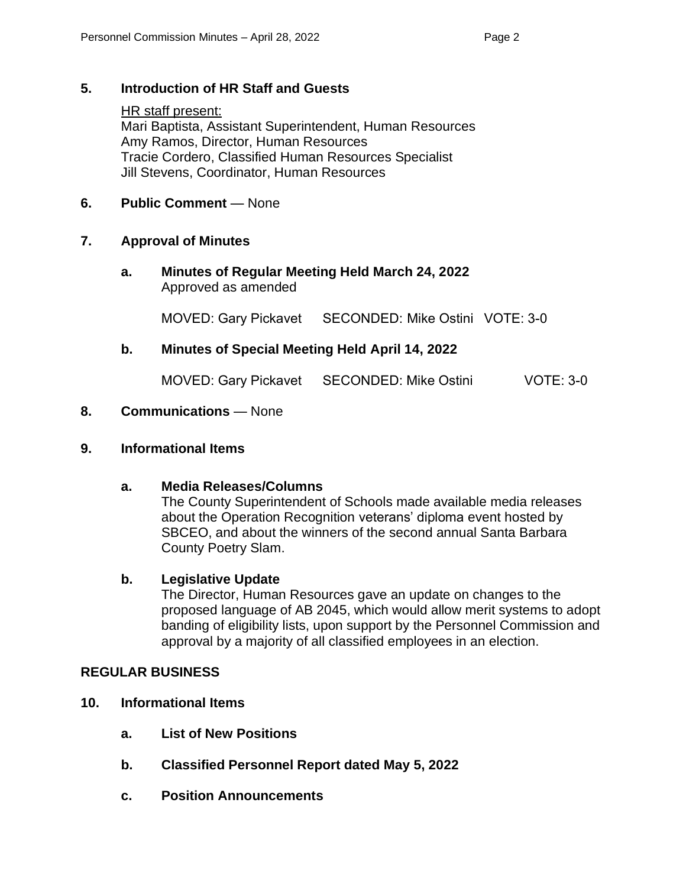# **5. Introduction of HR Staff and Guests**

HR staff present: Mari Baptista, Assistant Superintendent, Human Resources Amy Ramos, Director, Human Resources Tracie Cordero, Classified Human Resources Specialist Jill Stevens, Coordinator, Human Resources

# **6. Public Comment** — None

## **7. Approval of Minutes**

**a. Minutes of Regular Meeting Held March 24, 2022** Approved as amended

MOVED: Gary Pickavet SECONDED: Mike Ostini VOTE: 3-0

# **b. Minutes of Special Meeting Held April 14, 2022**

MOVED: Gary Pickavet SECONDED: Mike Ostini VOTE: 3-0

# **8. Communications** — None

## **9. Informational Items**

## **a. Media Releases/Columns**

The County Superintendent of Schools made available media releases about the Operation Recognition veterans' diploma event hosted by SBCEO, and about the winners of the second annual Santa Barbara County Poetry Slam.

## **b. Legislative Update**

The Director, Human Resources gave an update on changes to the proposed language of AB 2045, which would allow merit systems to adopt banding of eligibility lists, upon support by the Personnel Commission and approval by a majority of all classified employees in an election.

## **REGULAR BUSINESS**

- **10. Informational Items**
	- **a. List of New Positions**
	- **b. Classified Personnel Report dated May 5, 2022**
	- **c. Position Announcements**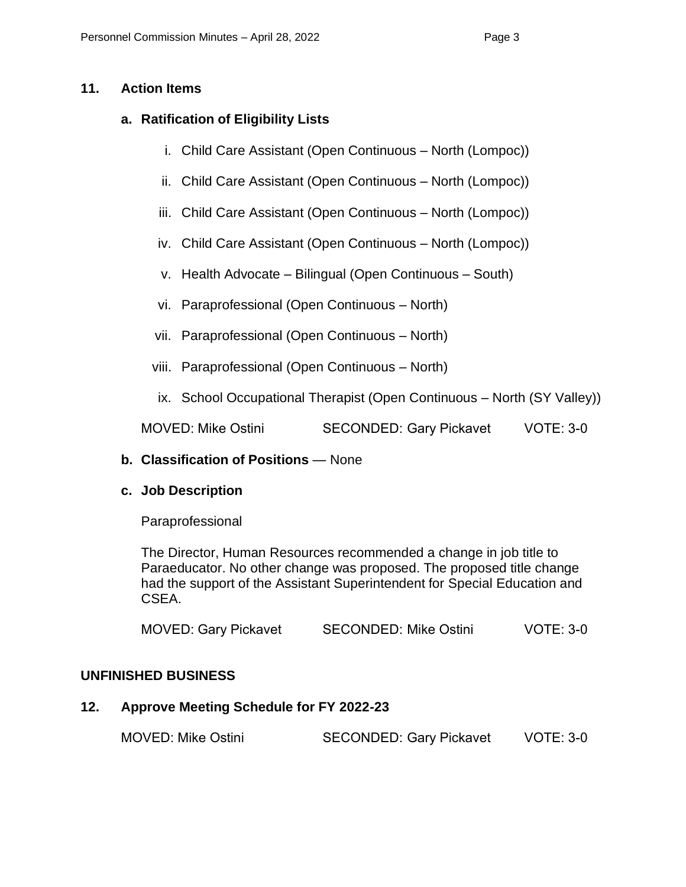# **11. Action Items**

# **a. Ratification of Eligibility Lists**

- i. Child Care Assistant (Open Continuous North (Lompoc))
- ii. Child Care Assistant (Open Continuous North (Lompoc))
- iii. Child Care Assistant (Open Continuous North (Lompoc))
- iv. Child Care Assistant (Open Continuous North (Lompoc))
- v. Health Advocate Bilingual (Open Continuous South)
- vi. Paraprofessional (Open Continuous North)
- vii. Paraprofessional (Open Continuous North)
- viii. Paraprofessional (Open Continuous North)
- ix. School Occupational Therapist (Open Continuous North (SY Valley))

MOVED: Mike Ostini SECONDED: Gary Pickavet VOTE: 3-0

## **b. Classification of Positions** — None

## **c. Job Description**

Paraprofessional

The Director, Human Resources recommended a change in job title to Paraeducator. No other change was proposed. The proposed title change had the support of the Assistant Superintendent for Special Education and CSEA.

| <b>MOVED: Gary Pickavet</b> | <b>SECONDED: Mike Ostini</b> | $VOTE: 3-0$ |
|-----------------------------|------------------------------|-------------|
|-----------------------------|------------------------------|-------------|

## **UNFINISHED BUSINESS**

# **12. Approve Meeting Schedule for FY 2022-23**

| <b>MOVED: Mike Ostini</b> | <b>SECONDED: Gary Pickavet</b> | <b>VOTE: 3-0</b> |
|---------------------------|--------------------------------|------------------|
|---------------------------|--------------------------------|------------------|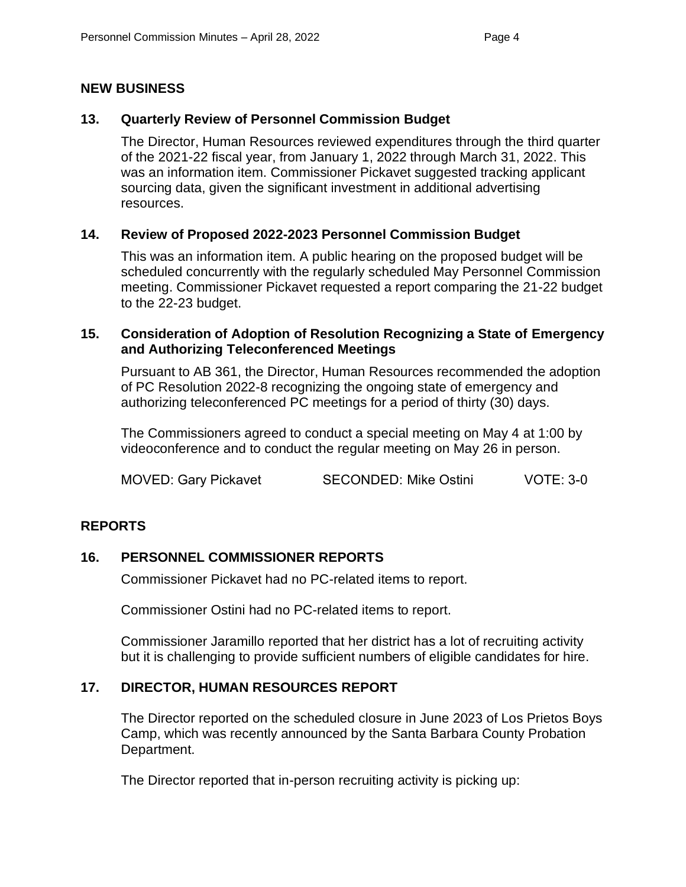# **NEW BUSINESS**

# **13. Quarterly Review of Personnel Commission Budget**

The Director, Human Resources reviewed expenditures through the third quarter of the 2021-22 fiscal year, from January 1, 2022 through March 31, 2022. This was an information item. Commissioner Pickavet suggested tracking applicant sourcing data, given the significant investment in additional advertising resources.

# **14. Review of Proposed 2022-2023 Personnel Commission Budget**

This was an information item. A public hearing on the proposed budget will be scheduled concurrently with the regularly scheduled May Personnel Commission meeting. Commissioner Pickavet requested a report comparing the 21-22 budget to the 22-23 budget.

#### **15. Consideration of Adoption of Resolution Recognizing a State of Emergency and Authorizing Teleconferenced Meetings**

Pursuant to AB 361, the Director, Human Resources recommended the adoption of PC Resolution 2022-8 recognizing the ongoing state of emergency and authorizing teleconferenced PC meetings for a period of thirty (30) days.

The Commissioners agreed to conduct a special meeting on May 4 at 1:00 by videoconference and to conduct the regular meeting on May 26 in person.

MOVED: Gary Pickavet SECONDED: Mike Ostini VOTE: 3-0

## **REPORTS**

## **16. PERSONNEL COMMISSIONER REPORTS**

Commissioner Pickavet had no PC-related items to report.

Commissioner Ostini had no PC-related items to report.

Commissioner Jaramillo reported that her district has a lot of recruiting activity but it is challenging to provide sufficient numbers of eligible candidates for hire.

## **17. DIRECTOR, HUMAN RESOURCES REPORT**

The Director reported on the scheduled closure in June 2023 of Los Prietos Boys Camp, which was recently announced by the Santa Barbara County Probation Department.

The Director reported that in-person recruiting activity is picking up: